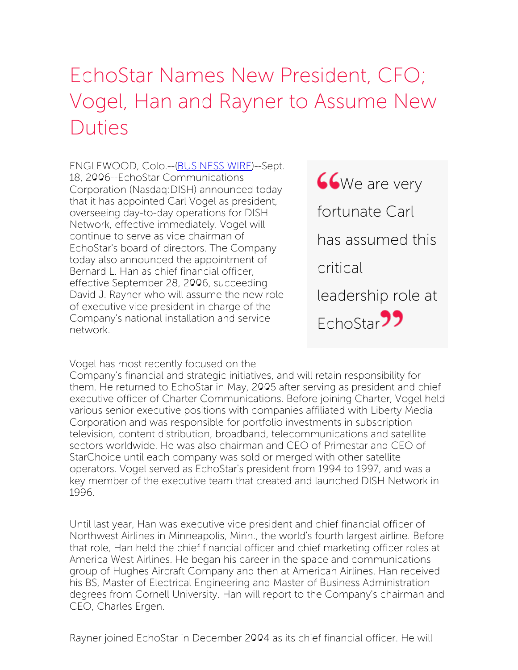## EchoStar Names New President, CFO; Vogel, Han and Rayner to Assume New Duties

ENGLEWOOD, Colo.--[\(BUSINESS](http://www.businesswire.com/) WIRE)--Sept. 18, 2006--EchoStar Communications Corporation (Nasdaq:DISH) announced today that it has appointed Carl Vogel as president, overseeing day-to-day operations for DISH Network, effective immediately. Vogel will continue to serve as vice chairman of EchoStar's board of directors. The Company today also announced the appointment of Bernard L. Han as chief financial officer, effective September 28, 2006, succeeding David J. Rayner who will assume the new role of executive vice president in charge of the Company's national installation and service network.



Vogel has most recently focused on the

Company's financial and strategic initiatives, and will retain responsibility for them. He returned to EchoStar in May, 2005 after serving as president and chief executive officer of Charter Communications. Before joining Charter, Vogel held various senior executive positions with companies affiliated with Liberty Media Corporation and was responsible for portfolio investments in subscription television, content distribution, broadband, telecommunications and satellite sectors worldwide. He was also chairman and CEO of Primestar and CEO of StarChoice until each company was sold or merged with other satellite operators. Vogel served as EchoStar's president from 1994 to 1997, and was a key member of the executive team that created and launched DISH Network in 1996.

Until last year, Han was executive vice president and chief financial officer of Northwest Airlines in Minneapolis, Minn., the world's fourth largest airline. Before that role, Han held the chief financial officer and chief marketing officer roles at America West Airlines. He began his career in the space and communications group of Hughes Aircraft Company and then at American Airlines. Han received his BS, Master of Electrical Engineering and Master of Business Administration degrees from Cornell University. Han will report to the Company's chairman and CEO, Charles Ergen.

Rayner joined EchoStar in December 2004 as its chief financial officer. He will